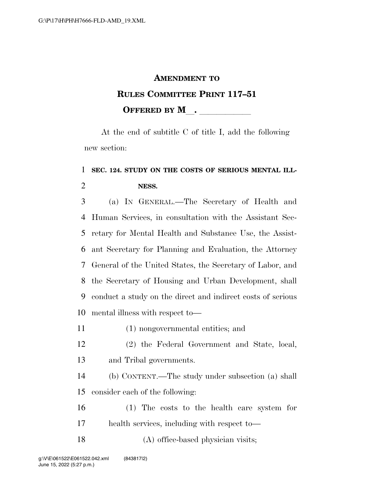## **AMENDMENT TO**

## **RULES COMMITTEE PRINT 117–51 OFFERED BY M**.

At the end of subtitle C of title I, add the following new section:

## **SEC. 124. STUDY ON THE COSTS OF SERIOUS MENTAL ILL-NESS.**

 (a) IN GENERAL.—The Secretary of Health and Human Services, in consultation with the Assistant Sec- retary for Mental Health and Substance Use, the Assist- ant Secretary for Planning and Evaluation, the Attorney General of the United States, the Secretary of Labor, and the Secretary of Housing and Urban Development, shall conduct a study on the direct and indirect costs of serious mental illness with respect to—

- (1) nongovernmental entities; and
- (2) the Federal Government and State, local, and Tribal governments.

 (b) CONTENT.—The study under subsection (a) shall consider each of the following:

 (1) The costs to the health care system for health services, including with respect to—

18 (A) office-based physician visits;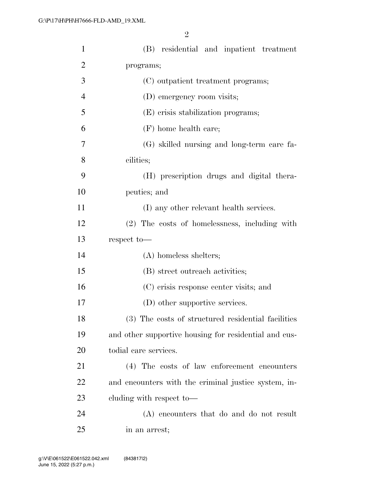| $\mathbf{1}$   | (B) residential and inpatient treatment               |
|----------------|-------------------------------------------------------|
| $\overline{2}$ | programs;                                             |
| 3              | (C) outpatient treatment programs;                    |
| $\overline{4}$ | (D) emergency room visits;                            |
| 5              | (E) crisis stabilization programs;                    |
| 6              | (F) home health care;                                 |
| 7              | (G) skilled nursing and long-term care fa-            |
| 8              | cilities;                                             |
| 9              | (H) prescription drugs and digital thera-             |
| 10             | peutics; and                                          |
| 11             | (I) any other relevant health services.               |
| 12             | (2) The costs of homelessness, including with         |
| 13             | respect to-                                           |
| 14             | $(A)$ homeless shelters;                              |
| 15             | (B) street outreach activities;                       |
| 16             | (C) crisis response center visits; and                |
| 17             | (D) other supportive services.                        |
| 18             | (3) The costs of structured residential facilities    |
| 19             | and other supportive housing for residential and cus- |
| 20             | todial care services.                                 |
| 21             | (4) The costs of law enforcement encounters           |
| 22             | and encounters with the criminal justice system, in-  |
| 23             | cluding with respect to-                              |
| 24             | (A) encounters that do and do not result              |
| 25             | in an arrest;                                         |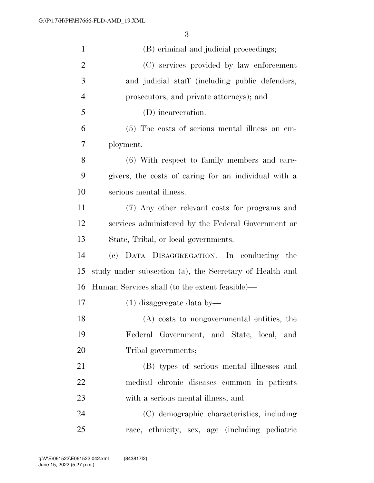| $\mathbf{1}$   | (B) criminal and judicial proceedings;                  |
|----------------|---------------------------------------------------------|
| $\overline{2}$ | (C) services provided by law enforcement                |
| 3              | and judicial staff (including public defenders,         |
| $\overline{4}$ | prosecutors, and private attorneys); and                |
| 5              | (D) incarceration.                                      |
| 6              | (5) The costs of serious mental illness on em-          |
| 7              | ployment.                                               |
| 8              | (6) With respect to family members and care-            |
| 9              | givers, the costs of caring for an individual with a    |
| 10             | serious mental illness.                                 |
| 11             | (7) Any other relevant costs for programs and           |
| 12             | services administered by the Federal Government or      |
| 13             | State, Tribal, or local governments.                    |
| 14             | (c) DATA DISAGGREGATION. In conducting<br>the           |
| 15             | study under subsection (a), the Secretary of Health and |
| 16             | Human Services shall (to the extent feasible)—          |
| 17             | $(1)$ disaggregate data by—                             |
| 18             | (A) costs to nongovernmental entities, the              |
| 19             | Federal Government, and State, local, and               |
| 20             | Tribal governments;                                     |
| 21             | (B) types of serious mental illnesses and               |
| 22             | medical chronic diseases common in patients             |
| 23             | with a serious mental illness; and                      |
| 24             | (C) demographic characteristics, including              |
| 25             | race, ethnicity, sex, age (including pediatric          |